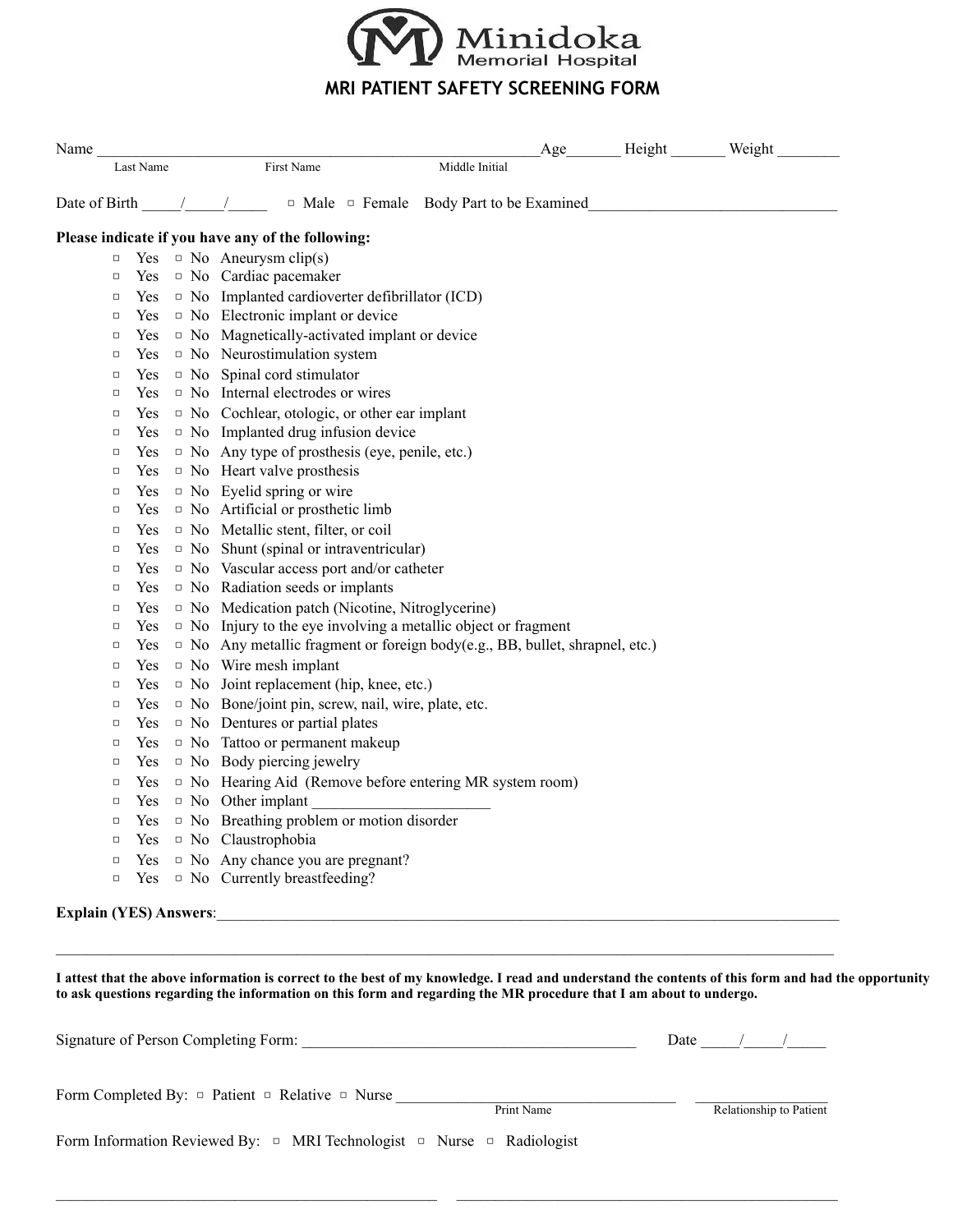

## **MRI PATIENT SAFETY SCREENING FORM**

| Name                          |            | Height Weight<br>Age                                                                                                                                                                                                                                                                                                                                                                                                  |  |
|-------------------------------|------------|-----------------------------------------------------------------------------------------------------------------------------------------------------------------------------------------------------------------------------------------------------------------------------------------------------------------------------------------------------------------------------------------------------------------------|--|
|                               | Last Name  | First Name<br>Middle Initial                                                                                                                                                                                                                                                                                                                                                                                          |  |
|                               |            | Date of Birth $\frac{1}{\sqrt{1-\frac{1}{\sqrt{1-\frac{1}{\sqrt{1-\frac{1}{\sqrt{1-\frac{1}{\sqrt{1-\frac{1}{\sqrt{1-\frac{1}{\sqrt{1-\frac{1}{\sqrt{1-\frac{1}{\sqrt{1-\frac{1}{\sqrt{1-\frac{1}{\sqrt{1-\frac{1}{\sqrt{1-\frac{1}{\sqrt{1-\frac{1}{\sqrt{1-\frac{1}{\sqrt{1-\frac{1}{\sqrt{1-\frac{1}{\sqrt{1-\frac{1}{\sqrt{1-\frac{1}{\sqrt{1-\frac{1}{\sqrt{1-\frac{1}{\sqrt{1-\frac{1}{\sqrt{1-\frac{1}{\sqrt{$ |  |
|                               |            | Please indicate if you have any of the following:                                                                                                                                                                                                                                                                                                                                                                     |  |
| $\Box$                        |            | Yes $\Box$ No Aneurysm clip(s)                                                                                                                                                                                                                                                                                                                                                                                        |  |
| $\Box$                        |            | Yes <sup>D</sup> No Cardiac pacemaker                                                                                                                                                                                                                                                                                                                                                                                 |  |
| $\Box$                        |            | Yes $\Box$ No Implanted cardioverter defibrillator (ICD)                                                                                                                                                                                                                                                                                                                                                              |  |
| $\Box$                        | Yes        | $\Box$ No Electronic implant or device                                                                                                                                                                                                                                                                                                                                                                                |  |
| $\Box$                        |            | $Yes \t D No Magnetically-activated implant or device$                                                                                                                                                                                                                                                                                                                                                                |  |
| $\Box$                        |            | Yes $\Box$ No Neurostimulation system                                                                                                                                                                                                                                                                                                                                                                                 |  |
| $\Box$                        | Yes.       | $\Box$ No Spinal cord stimulator                                                                                                                                                                                                                                                                                                                                                                                      |  |
| $\Box$                        | <b>Yes</b> | $\Box$ No Internal electrodes or wires                                                                                                                                                                                                                                                                                                                                                                                |  |
| $\Box$                        | Yes        | $\Box$ No Cochlear, otologic, or other ear implant                                                                                                                                                                                                                                                                                                                                                                    |  |
| $\Box$                        | Yes        | $\Box$ No Implanted drug infusion device                                                                                                                                                                                                                                                                                                                                                                              |  |
| $\Box$                        | <b>Yes</b> | $\Box$ No Any type of prosthesis (eye, penile, etc.)                                                                                                                                                                                                                                                                                                                                                                  |  |
| $\Box$                        |            | Yes $\Box$ No Heart valve prosthesis                                                                                                                                                                                                                                                                                                                                                                                  |  |
| $\Box$                        | Yes        | $\Box$ No Eyelid spring or wire                                                                                                                                                                                                                                                                                                                                                                                       |  |
| $\Box$                        | Yes        | $\Box$ No Artificial or prosthetic limb                                                                                                                                                                                                                                                                                                                                                                               |  |
| $\Box$                        | <b>Yes</b> | $\Box$ No Metallic stent, filter, or coil                                                                                                                                                                                                                                                                                                                                                                             |  |
| $\Box$                        | Yes        | $\Box$ No Shunt (spinal or intraventricular)                                                                                                                                                                                                                                                                                                                                                                          |  |
| $\Box$                        | <b>Yes</b> | $\Box$ No Vascular access port and/or catheter                                                                                                                                                                                                                                                                                                                                                                        |  |
| $\Box$                        | <b>Yes</b> | $\Box$ No Radiation seeds or implants                                                                                                                                                                                                                                                                                                                                                                                 |  |
| $\Box$                        | Yes.       | <sup>D</sup> No Medication patch (Nicotine, Nitroglycerine)                                                                                                                                                                                                                                                                                                                                                           |  |
| $\Box$                        | <b>Yes</b> | $\Box$ No Injury to the eye involving a metallic object or fragment                                                                                                                                                                                                                                                                                                                                                   |  |
| $\Box$                        | Yes        | $\Box$ No Any metallic fragment or foreign body(e.g., BB, bullet, shrapnel, etc.)                                                                                                                                                                                                                                                                                                                                     |  |
| $\Box$                        | Yes        | $\Box$ No Wire mesh implant                                                                                                                                                                                                                                                                                                                                                                                           |  |
| $\Box$                        | Yes        | $\Box$ No Joint replacement (hip, knee, etc.)                                                                                                                                                                                                                                                                                                                                                                         |  |
| $\Box$                        | Yes        | □ No Bone/joint pin, screw, nail, wire, plate, etc.                                                                                                                                                                                                                                                                                                                                                                   |  |
| $\Box$                        | Yes        | $\Box$ No Dentures or partial plates                                                                                                                                                                                                                                                                                                                                                                                  |  |
| $\Box$                        | Yes        | $\Box$ No Tattoo or permanent makeup                                                                                                                                                                                                                                                                                                                                                                                  |  |
| $\Box$                        | Yes        | $\Box$ No Body piercing jewelry                                                                                                                                                                                                                                                                                                                                                                                       |  |
| $\Box$                        | <b>Yes</b> | $\Box$ No Hearing Aid (Remove before entering MR system room)                                                                                                                                                                                                                                                                                                                                                         |  |
| $\Box$                        | Yes        |                                                                                                                                                                                                                                                                                                                                                                                                                       |  |
| $\Box$                        | Yes        | $\Box$ No Breathing problem or motion disorder                                                                                                                                                                                                                                                                                                                                                                        |  |
| $\Box$                        | <b>Yes</b> | $\Box$ No Claustrophobia                                                                                                                                                                                                                                                                                                                                                                                              |  |
| $\Box$                        | <b>Yes</b> | $\Box$ No Any chance you are pregnant?                                                                                                                                                                                                                                                                                                                                                                                |  |
| $\Box$                        | Yes        | $\Box$ No Currently breastfeeding?                                                                                                                                                                                                                                                                                                                                                                                    |  |
| <b>Explain (YES) Answers:</b> |            |                                                                                                                                                                                                                                                                                                                                                                                                                       |  |

**I attest that the above information is correct to the best of my knowledge. I read and understand the contents of this form and had the opportunity to ask questions regarding the information on this form and regarding the MR procedure that I am about to undergo.** 

| Signature of Person Completing Form:                                                  | Date       |                         |
|---------------------------------------------------------------------------------------|------------|-------------------------|
| Form Completed By: $\Box$ Patient $\Box$ Relative $\Box$ Nurse                        | Print Name | Relationship to Patient |
| Form Information Reviewed By: $\Box$ MRI Technologist $\Box$ Nurse $\Box$ Radiologist |            |                         |

 $\mathcal{L}_\mathcal{L} = \{ \mathcal{L}_\mathcal{L} = \{ \mathcal{L}_\mathcal{L} = \{ \mathcal{L}_\mathcal{L} = \{ \mathcal{L}_\mathcal{L} = \{ \mathcal{L}_\mathcal{L} = \{ \mathcal{L}_\mathcal{L} = \{ \mathcal{L}_\mathcal{L} = \{ \mathcal{L}_\mathcal{L} = \{ \mathcal{L}_\mathcal{L} = \{ \mathcal{L}_\mathcal{L} = \{ \mathcal{L}_\mathcal{L} = \{ \mathcal{L}_\mathcal{L} = \{ \mathcal{L}_\mathcal{L} = \{ \mathcal{L}_\mathcal{$